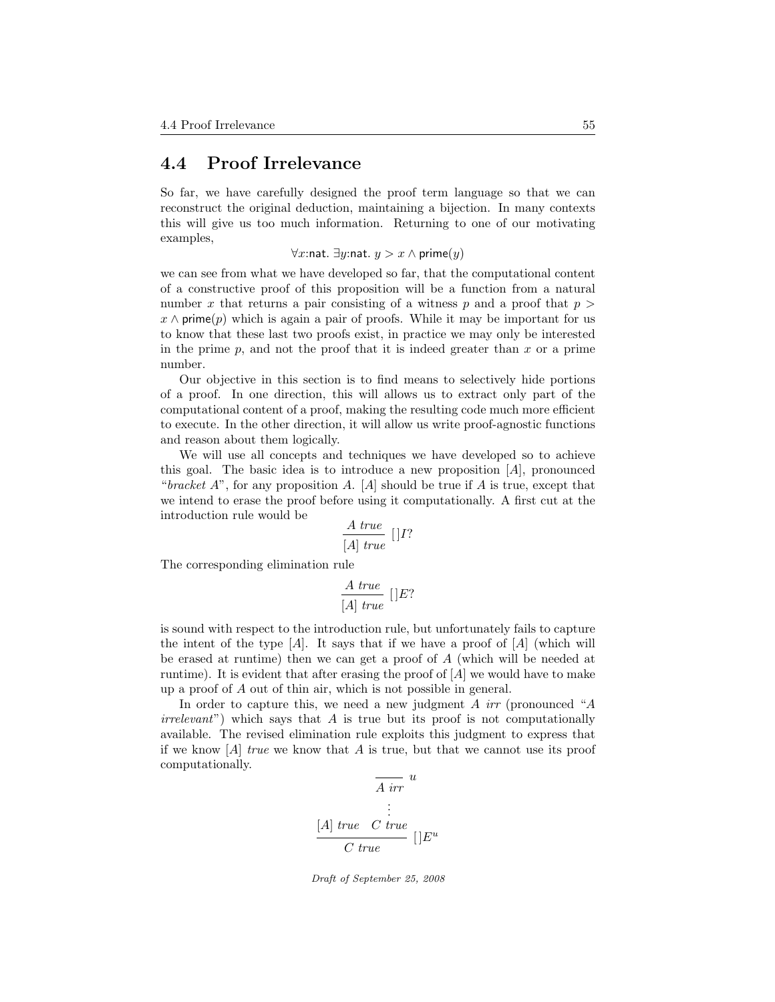## 4.4 Proof Irrelevance

So far, we have carefully designed the proof term language so that we can reconstruct the original deduction, maintaining a bijection. In many contexts this will give us too much information. Returning to one of our motivating examples,

 $\forall x$ :nat.  $\exists y$ :nat.  $y > x \land$  prime $(y)$ 

we can see from what we have developed so far, that the computational content of a constructive proof of this proposition will be a function from a natural number x that returns a pair consisting of a witness p and a proof that  $p >$  $x \wedge$  prime(p) which is again a pair of proofs. While it may be important for us to know that these last two proofs exist, in practice we may only be interested in the prime  $p$ , and not the proof that it is indeed greater than  $x$  or a prime number.

Our objective in this section is to find means to selectively hide portions of a proof. In one direction, this will allows us to extract only part of the computational content of a proof, making the resulting code much more efficient to execute. In the other direction, it will allow us write proof-agnostic functions and reason about them logically.

We will use all concepts and techniques we have developed so to achieve this goal. The basic idea is to introduce a new proposition  $|A|$ , pronounced "bracket  $A$ ", for any proposition A. [A] should be true if A is true, except that we intend to erase the proof before using it computationally. A first cut at the introduction rule would be

$$
\frac{A\ true}{[A]\ true}\ []I?
$$

The corresponding elimination rule

$$
\frac{A\ true}{[A]\ true}\ []E?
$$

is sound with respect to the introduction rule, but unfortunately fails to capture the intent of the type  $[A]$ . It says that if we have a proof of  $[A]$  (which will be erased at runtime) then we can get a proof of A (which will be needed at runtime). It is evident that after erasing the proof of  $[A]$  we would have to make up a proof of A out of thin air, which is not possible in general.

In order to capture this, we need a new judgment A  $irr$  (pronounced "A  $irrelevant$ ) which says that A is true but its proof is not computationally available. The revised elimination rule exploits this judgment to express that if we know  $[A]$  true we know that A is true, but that we cannot use its proof computationally.

$$
\begin{array}{c}\n\overline{A \text{ irr }}^{u} \\
\vdots \\
\overline{A \text{ true }}^{u} \\
\overline{C \text{ true }}^{u} \\
\end{array}
$$

Draft of September 25, 2008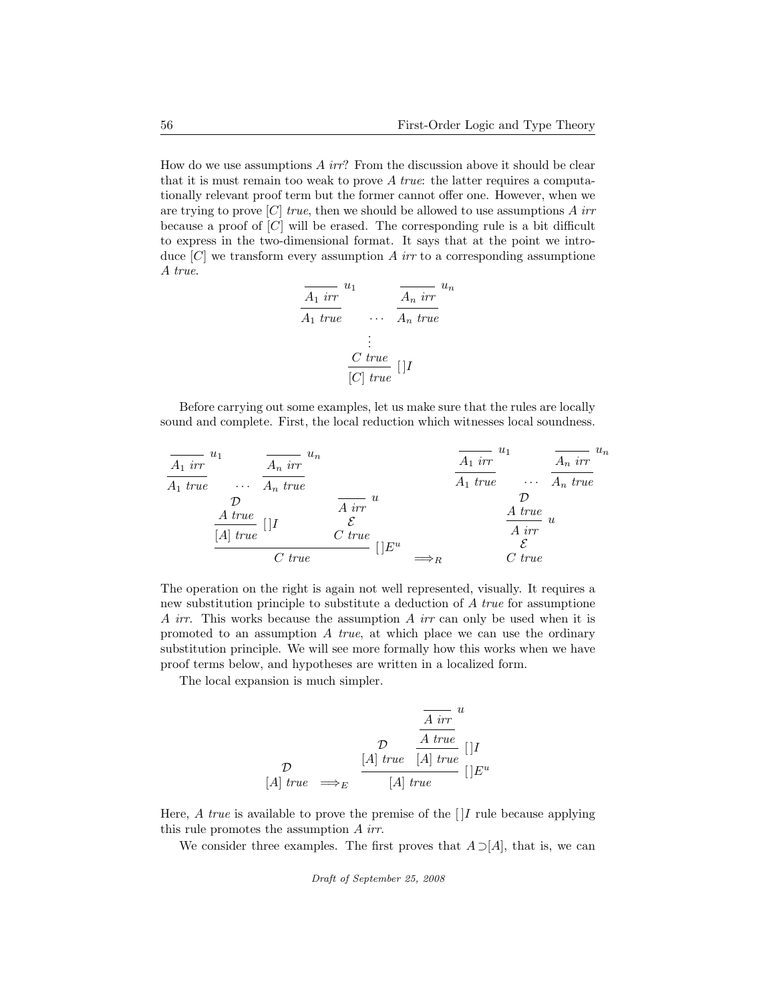How do we use assumptions  $A$  irr? From the discussion above it should be clear that it is must remain too weak to prove  $A$  true: the latter requires a computationally relevant proof term but the former cannot offer one. However, when we are trying to prove [C] true, then we should be allowed to use assumptions A irr because a proof of  $[C]$  will be erased. The corresponding rule is a bit difficult to express in the two-dimensional format. It says that at the point we introduce  $[C]$  we transform every assumption A irr to a corresponding assumptione A true.

$$
\frac{\overline{A_1 \text{ irr}}^{u_1}}{A_1 \text{ true}} \qquad \dots \qquad \frac{\overline{A_n \text{ irr}}^{u_n}}{A_n \text{ true}}
$$
\n
$$
\vdots
$$
\n
$$
\frac{C \text{ true}}{[C] \text{ true}} \qquad []I
$$

Before carrying out some examples, let us make sure that the rules are locally sound and complete. First, the local reduction which witnesses local soundness.

| $\overline{A_1}$ $irr$  | $u_1$                   | $\overline{A_n}$ $irr$  | $\overline{A_1}$ $irr$  | $\overline{A_1}$ $irr$ | $\overline{A_1}$ $irr$ | $\overline{A_1}$ $irr$ | $\overline{A_n}$ $irr$ |
|-------------------------|-------------------------|-------------------------|-------------------------|------------------------|------------------------|------------------------|------------------------|
| $\overline{A_1}$ $true$ | $\overline{A_1}$ $true$ | $\overline{A_1}$ $true$ | $\overline{A_1}$ $true$ |                        |                        |                        |                        |
| $\overline{A_1}$ $true$ | $\overline{A_1}$ $true$ | $\overline{A_1}$ $true$ |                         |                        |                        |                        |                        |
| $\overline{A_1}$ $true$ | $\overline{A_1}$ $true$ | $\overline{A_1}$ $true$ |                         |                        |                        |                        |                        |
| $\overline{A_1}$ $true$ | $\overline{A_1}$ $true$ |                         |                         |                        |                        |                        |                        |
| $\overline{A_1}$ $true$ | $\overline{A_1}$ $true$ |                         |                         |                        |                        |                        |                        |
| $\overline{A_1}$ $true$ | $\overline{A_1}$ $true$ |                         |                         |                        |                        |                        |                        |
| $\overline{A_1}$ $true$ | $\overline{A_1}$ $true$ |                         |                         |                        |                        |                        |                        |

The operation on the right is again not well represented, visually. It requires a new substitution principle to substitute a deduction of A true for assumptione A irr. This works because the assumption A irr can only be used when it is promoted to an assumption  $A$  true, at which place we can use the ordinary substitution principle. We will see more formally how this works when we have proof terms below, and hypotheses are written in a localized form.

The local expansion is much simpler.

$$
\frac{\frac{\overline{A} \text{ irr}}{A \text{ true}}}{\sum_{[A] \text{ true}} \frac{A \text{ true}}{[A] \text{ true}}}\n\begin{bmatrix}\nI \\
I\n\end{bmatrix}
$$
\n[1]

Here, A true is available to prove the premise of the  $[$  $]I$  rule because applying this rule promotes the assumption A irr.

We consider three examples. The first proves that  $A \supset [A]$ , that is, we can

Draft of September 25, 2008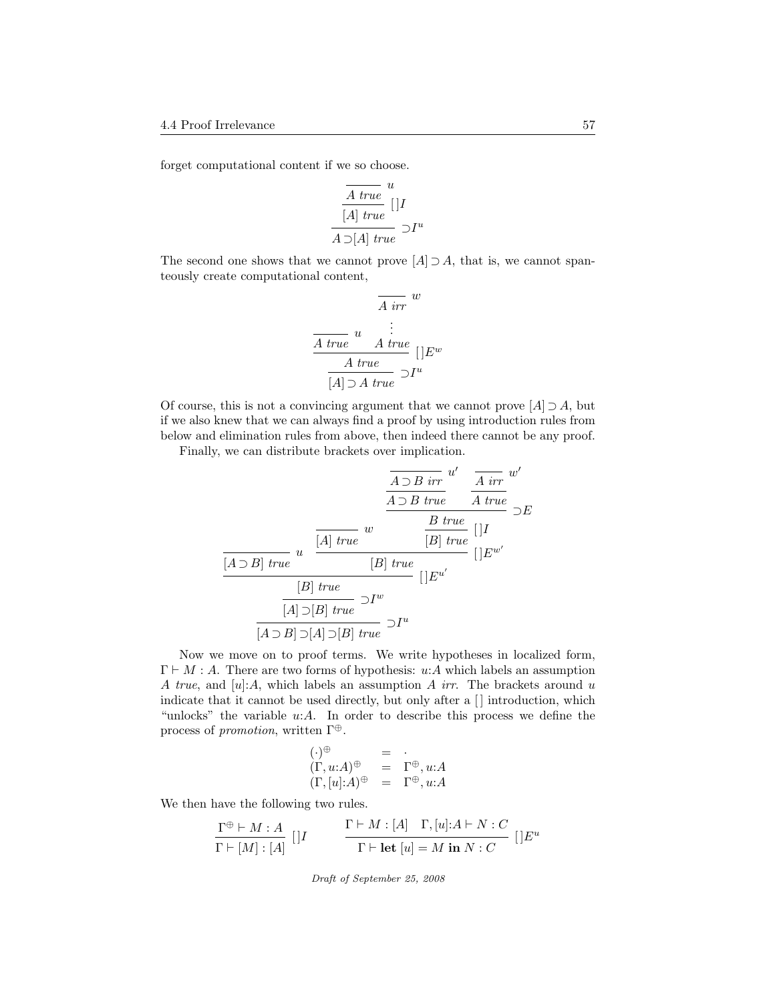forget computational content if we so choose.

$$
\frac{\frac{A \; true}{[A] \; true}}{[A] \; true} \; ]I
$$
  

$$
\frac{A \supset [A] \; true}{A \supset [A] \; true} \; 2I^u
$$

The second one shows that we cannot prove  $[A] \supset A$ , that is, we cannot spanteously create computational content,

$$
\begin{array}{c}\n\overline{A \text{ irr }} w \\
\hline\n\frac{A \text{ true}}{A \text{ true}} u & \vdots \\
\hline\n\frac{A \text{ true}}{[A] \supset A \text{ true}} U^{u} \\
\end{array}
$$

Of course, this is not a convincing argument that we cannot prove  $[A] \supset A$ , but if we also knew that we can always find a proof by using introduction rules from below and elimination rules from above, then indeed there cannot be any proof.

Finally, we can distribute brackets over implication.

$$
\frac{\overline{A \supset B \text{ irr}}} {A \supset B \text{ true}} \frac{u'}{A \text{ true}} \frac{u'}{A \text{ true}} \frac{u'}{B}
$$
\n
$$
\frac{\overline{A \supset B \text{ true}}}{} \frac{u}{|B| \text{ true}} \frac{B \text{ true}}{[B] \text{ true}}}{|B| \text{ true}} \frac{u'}{[B] \text{ true}} \frac{B \text{ true}}{[B] \text{ true}}}{|B \supset B \text{ true}} \frac{u'}{[B] \text{ true}} \frac{u'}{[B] \text{ true}} \frac{u'}{[B] \text{ true}} \frac{u'}{[B] \text{ true}} \frac{u'}{[B] \text{ true}} \frac{u'}{[B] \text{ true}} \frac{u'}{[B] \text{ true}} \frac{u'}{[B] \text{ true}} \frac{u'}{[B] \text{ true}} \frac{u'}{[B] \text{ true}} \frac{u'}{[B] \text{ true}} \frac{u'}{[B] \text{ true}} \frac{u'}{[B] \text{ true}} \frac{u'}{[B] \text{ true}} \frac{u'}{[B] \text{ true}} \frac{u'}{[B] \text{ true}} \frac{u'}{[B] \text{ true}} \frac{u'}{[B] \text{ true}} \frac{u'}{[B] \text{ true}} \frac{u'}{[B] \text{ true}} \frac{u'}{[B] \text{ true}} \frac{u'}{[B] \text{ true}} \frac{u'}{[B] \text{ true}} \frac{u'}{[B] \text{ true}} \frac{u'}{[B] \text{ true}} \frac{u'}{[B] \text{ true}} \frac{u'}{[B] \text{ true}} \frac{u'}{[B] \text{ true}} \frac{u'}{[B] \text{ true}} \frac{u'}{[B] \text{ true}} \frac{u'}{[B] \text{ true}} \frac{u'}{[B] \text{ true}} \frac{u'}{[B] \text{ true}} \frac{u'}{[B] \text{ true}} \frac{u'}{[B] \text{ true}} \frac{u'}{[B] \text{ true}} \frac{u'}{[B] \text{ true}} \frac{u'}{[B] \text{ true}} \frac{u'}{[B] \text{ true}} \frac{u'}{[B] \text{ true}} \frac{u'}{[B] \text{ true}} \frac{u'}{[B] \text{ true}} \frac{u
$$

Now we move on to proof terms. We write hypotheses in localized form,  $\Gamma \vdash M : A$ . There are two forms of hypothesis: u:A which labels an assumption A true, and  $[u]:A$ , which labels an assumption A irr. The brackets around u indicate that it cannot be used directly, but only after a  $\Box$  introduction, which "unlocks" the variable  $u:A$ . In order to describe this process we define the process of *promotion*, written  $\Gamma^{\oplus}$ .

$$
\begin{array}{rcl}\n(\cdot)^{\oplus} & = & \cdot \\
(\Gamma, u:A)^{\oplus} & = & \Gamma^{\oplus}, u:A \\
(\Gamma, [u]:A)^{\oplus} & = & \Gamma^{\oplus}, u:A\n\end{array}
$$

We then have the following two rules.

$$
\frac{\Gamma^{\oplus} \vdash M : A}{\Gamma \vdash [M] : [A]} \begin{bmatrix} |I \end{bmatrix} \qquad \qquad \frac{\Gamma \vdash M : [A] \quad \Gamma, [u] : A \vdash N : C}{\Gamma \vdash \textbf{let } [u] = M \textbf{ in } N : C} \begin{bmatrix} |E^u \end{bmatrix}
$$

Draft of September 25, 2008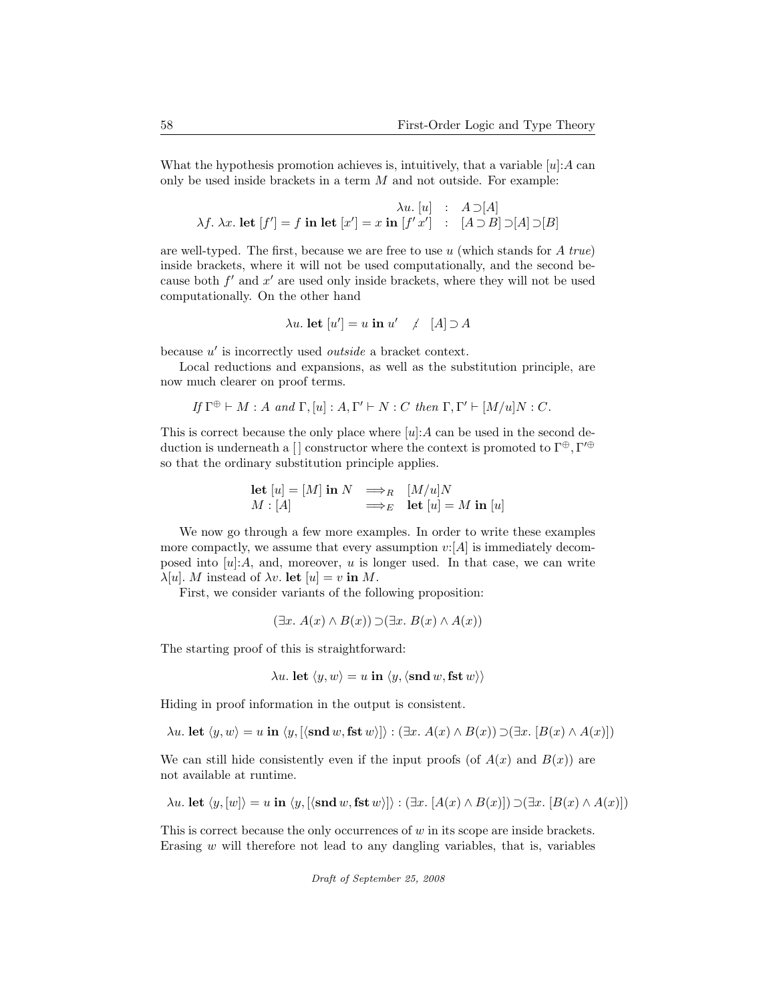What the hypothesis promotion achieves is, intuitively, that a variable  $[u]: A$  can only be used inside brackets in a term  $M$  and not outside. For example:

$$
\lambda u. [u] : A \supset [A]
$$
  

$$
\lambda f. \lambda x. \text{ let } [f'] = f \text{ in } \text{let } [x'] = x \text{ in } [f'x'] : [A \supset B] \supset [A] \supset [B]
$$

are well-typed. The first, because we are free to use  $u$  (which stands for A true) inside brackets, where it will not be used computationally, and the second because both  $f'$  and  $x'$  are used only inside brackets, where they will not be used computationally. On the other hand

$$
\lambda u. \text{ let } [u'] = u \text{ in } u' \quad / \quad [A] \supset A
$$

because  $u'$  is incorrectly used *outside* a bracket context.

Local reductions and expansions, as well as the substitution principle, are now much clearer on proof terms.

If 
$$
\Gamma^{\oplus} \vdash M : A
$$
 and  $\Gamma$ ,  $[u] : A, \Gamma' \vdash N : C$  then  $\Gamma, \Gamma' \vdash [M/u]N : C$ .

This is correct because the only place where  $[u]:A$  can be used in the second deduction is underneath a [] constructor where the context is promoted to  $\Gamma^{\oplus}$ ,  $\Gamma'^{\oplus}$ so that the ordinary substitution principle applies.

$$
\begin{array}{llll}\n\text{let } [u] = [M] \text{ in } N & \Longrightarrow_R & [M/u]N \\
M : [A] & \Longrightarrow_E & \text{let } [u] = M \text{ in } [u]\n\end{array}
$$

We now go through a few more examples. In order to write these examples more compactly, we assume that every assumption  $v: [A]$  is immediately decomposed into  $[u]:A$ , and, moreover, u is longer used. In that case, we can write  $\lambda[u]$ . *M* instead of  $\lambda v$ . **let**  $[u] = v$  in *M*.

First, we consider variants of the following proposition:

$$
(\exists x. A(x) \land B(x)) \supset (\exists x. B(x) \land A(x))
$$

The starting proof of this is straightforward:

$$
\lambda u. \text{ let } \langle y, w \rangle = u \text{ in } \langle y, \langle \text{snd } w, \text{fst } w \rangle \rangle
$$

Hiding in proof information in the output is consistent.

 $\lambda u$ . let  $\langle y, w \rangle = u$  in  $\langle y, [\langle \text{snd } w, \text{fst } w \rangle] \rangle : (\exists x. A(x) \land B(x)) \supset (\exists x. [B(x) \land A(x)])$ 

We can still hide consistently even if the input proofs (of  $A(x)$  and  $B(x)$ ) are not available at runtime.

$$
\lambda u
$$
. let  $\langle y, [w] \rangle = u$  in  $\langle y, [\langle \text{snd } w, \text{fst } w \rangle] \rangle : (\exists x. [A(x) \land B(x)]) \supset (\exists x. [B(x) \land A(x)])$ 

This is correct because the only occurrences of w in its scope are inside brackets. Erasing  $w$  will therefore not lead to any dangling variables, that is, variables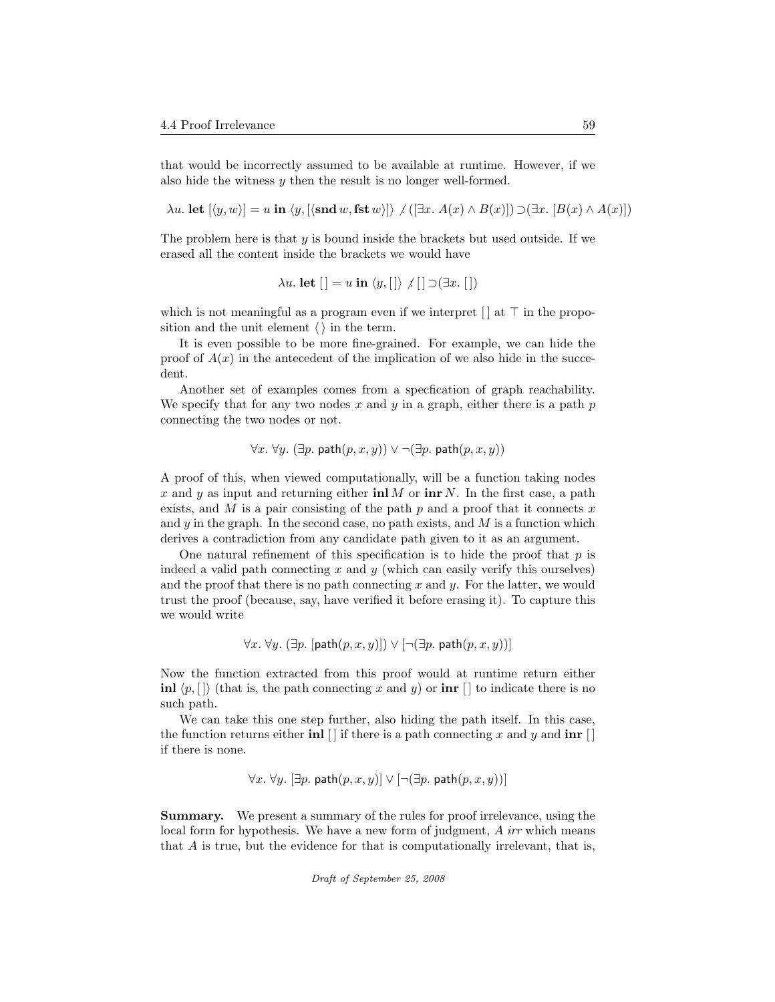that would be incorrectly assumed to be available at runtime. However, if we also hide the witness  $y$  then the result is no longer well-formed.

 $\lambda u.$  let  $[\langle y, w \rangle] = u$  in  $\langle y, [\langle \text{snd } w, \text{fst } w \rangle] \rangle$  ( $[\exists x. A(x) \land B(x)]$ )  $\supset (\exists x. [B(x) \land A(x)])$ 

The problem here is that  $y$  is bound inside the brackets but used outside. If we erased all the content inside the brackets we would have

$$
\lambda u. \text{ let } [] = u \text{ in } \langle y, [] \rangle \neq [] \supset (\exists x. [])
$$

which is not meaningful as a program even if we interpret  $\Box$  at  $\top$  in the proposition and the unit element  $\langle \ \rangle$  in the term.

It is even possible to be more fine-grained. For example, we can hide the proof of  $A(x)$  in the antecedent of the implication of we also hide in the succedent.

Another set of examples comes from a specfication of graph reachability. We specify that for any two nodes x and y in a graph, either there is a path  $p$ connecting the two nodes or not.

$$
\forall x. \ \forall y. \ (\exists p. \ \mathsf{path}(p, x, y)) \lor \neg (\exists p. \ \mathsf{path}(p, x, y))
$$

A proof of this, when viewed computationally, will be a function taking nodes x and y as input and returning either  $\text{inl } M$  or  $\text{inr } N$ . In the first case, a path exists, and  $M$  is a pair consisting of the path  $p$  and a proof that it connects  $x$ and  $y$  in the graph. In the second case, no path exists, and  $M$  is a function which derives a contradiction from any candidate path given to it as an argument.

One natural refinement of this specification is to hide the proof that  $p$  is indeed a valid path connecting  $x$  and  $y$  (which can easily verify this ourselves) and the proof that there is no path connecting  $x$  and  $y$ . For the latter, we would trust the proof (because, say, have verified it before erasing it). To capture this we would write

$$
\forall x. \ \forall y. \ (\exists p. \ [\mathsf{path}(p, x, y)]) \lor [\neg(\exists p. \ \mathsf{path}(p, x, y))] \]
$$

Now the function extracted from this proof would at runtime return either inl  $\langle p, [\, ] \rangle$  (that is, the path connecting x and y) or inr  $[ \, ]$  to indicate there is no such path.

We can take this one step further, also hiding the path itself. In this case, the function returns either **inl**  $\lceil \cdot \rceil$  if there is a path connecting x and y and **inr**  $\lceil \cdot \rceil$ if there is none.

$$
\forall x. \ \forall y. \ [\exists p. \ \mathsf{path}(p, x, y)] \lor [\neg(\exists p. \ \mathsf{path}(p, x, y))]
$$

Summary. We present a summary of the rules for proof irrelevance, using the local form for hypothesis. We have a new form of judgment, A irr which means that A is true, but the evidence for that is computationally irrelevant, that is,